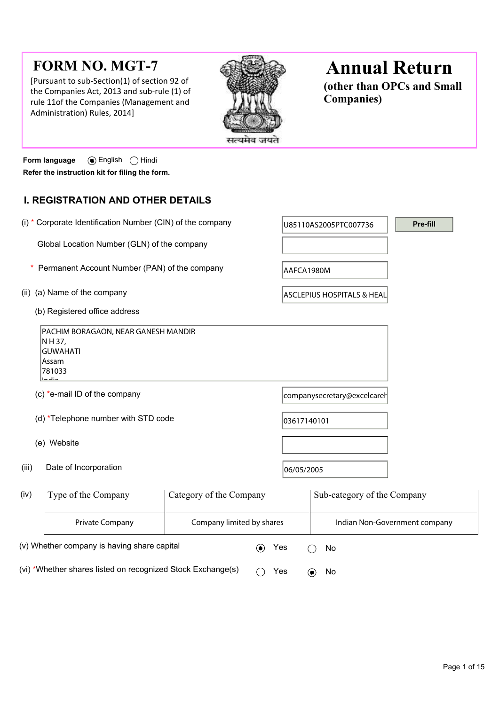# **FORM NO. MGT-7**

[Pursuant to sub-Section(1) of section 92 of the Companies Act, 2013 and sub-rule (1) of rule 11of the Companies (Management and Administration) Rules, 2014]



# **Annual Return**

**(other than OPCs and Small Companies)**

**Form language** English Hindi **Refer the instruction kit for filing the form.**

## **I. REGISTRATION AND OTHER DETAILS**

| (i) * Corporate Identification Number (CIN) of the company                                                                                                              | U85110AS2005PTC007736                 | Pre-fill |
|-------------------------------------------------------------------------------------------------------------------------------------------------------------------------|---------------------------------------|----------|
| Global Location Number (GLN) of the company                                                                                                                             |                                       |          |
| Permanent Account Number (PAN) of the company<br>*                                                                                                                      | AAFCA1980M                            |          |
| (ii) (a) Name of the company                                                                                                                                            | ASCLEPIUS HOSPITALS & HEAL            |          |
| (b) Registered office address                                                                                                                                           |                                       |          |
| PACHIM BORAGAON, NEAR GANESH MANDIR<br>N H 37,<br><b>GUWAHATI</b><br>Assam<br>781033<br>The left is                                                                     |                                       |          |
| (c) *e-mail ID of the company                                                                                                                                           | companysecretary@excelcarel           |          |
| (d) *Telephone number with STD code                                                                                                                                     | 03617140101                           |          |
| (e) Website                                                                                                                                                             |                                       |          |
| Date of Incorporation<br>(iii)                                                                                                                                          | 06/05/2005                            |          |
| $\alpha_{\text{th}}$ $\alpha_{\text{th}}$ $\alpha_{\text{th}}$<br>$\int$ ivar $\lambda$<br>$\mathbf{T}$ and $\mathbf{C}$ $\mathbf{A}$ and $\mathbf{C}$ and $\mathbf{C}$ | $C_{n+1}$ . The same of the $C_{n+1}$ |          |

| (iv)                                        | Type of the Company                                         | Category of the Company   |     | Sub-category of the Company |                               |
|---------------------------------------------|-------------------------------------------------------------|---------------------------|-----|-----------------------------|-------------------------------|
|                                             | <b>Private Company</b>                                      | Company limited by shares |     |                             | Indian Non-Government company |
| (v) Whether company is having share capital |                                                             |                           | Yes | No.                         |                               |
|                                             | (vi) *Whether shares listed on recognized Stock Exchange(s) |                           |     | Yes                         | No.                           |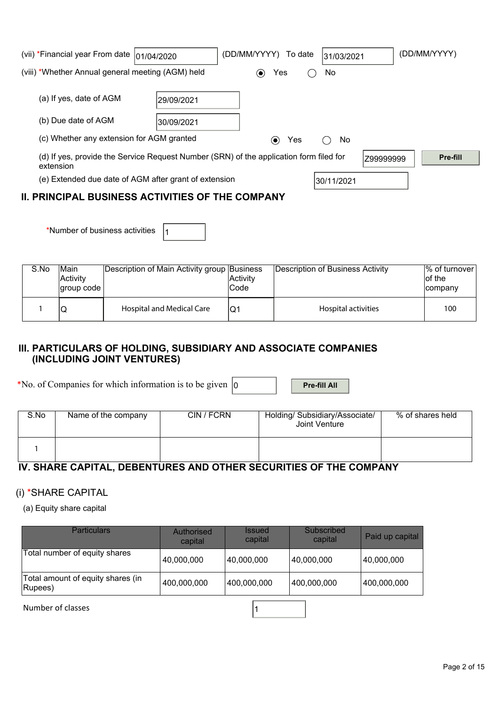| (vii) *Financial year From date  01/04/2020           |            | (DD/MM/YYYY) To date                                                                   | 31/03/2021 | (DD/MM/YYYY) |
|-------------------------------------------------------|------------|----------------------------------------------------------------------------------------|------------|--------------|
| (viii) *Whether Annual general meeting (AGM) held     |            | Yes<br>$(\bullet)$                                                                     | No         |              |
| (a) If yes, date of AGM                               | 29/09/2021 |                                                                                        |            |              |
| (b) Due date of AGM                                   | 30/09/2021 |                                                                                        |            |              |
| (c) Whether any extension for AGM granted             |            | Yes<br>$\left( \bullet \right)$                                                        | No.        |              |
| extension                                             |            | (d) If yes, provide the Service Request Number (SRN) of the application form filed for | Z99999999  | Pre-fill     |
| (e) Extended due date of AGM after grant of extension |            |                                                                                        | 30/11/2021 |              |
| IL DRINCIDAL RUSINESS ACTIVITIES OF THE COMPANY       |            |                                                                                        |            |              |

## **II. PRINCIPAL BUSINESS ACTIVITIES OF THE COMPANY**

\*Number of business activities  $|_1$ 

| S.No | Main<br>Activity<br> group code | Description of Main Activity group Business | Activity<br>lCode | Description of Business Activity | 1% of turnover<br>lof the<br>company |
|------|---------------------------------|---------------------------------------------|-------------------|----------------------------------|--------------------------------------|
|      | w                               | Hospital and Medical Care                   |                   | Hospital activities              | 100                                  |

## **III. PARTICULARS OF HOLDING, SUBSIDIARY AND ASSOCIATE COMPANIES (INCLUDING JOINT VENTURES)**

\*No. of Companies for which information is to be given  $\vert_0$  **Pre-fill All** 

| S.No | Name of the company | CIN / FCRN | Holding/ Subsidiary/Associate/<br>Joint Venture | % of shares held |
|------|---------------------|------------|-------------------------------------------------|------------------|
|      |                     |            |                                                 |                  |

# **IV. SHARE CAPITAL, DEBENTURES AND OTHER SECURITIES OF THE COMPANY**

## (i) \*SHARE CAPITAL

(a) Equity share capital

| Particulars                                  | Authorised<br>capital | <b>Issued</b><br>capital | <b>Subscribed</b><br>capital | Paid up capital |
|----------------------------------------------|-----------------------|--------------------------|------------------------------|-----------------|
| Total number of equity shares                | 40,000,000            | 40,000,000               | 40,000,000                   | 40,000,000      |
| Total amount of equity shares (in<br>Rupees) | 400,000,000           | 400,000,000              | 400,000,000                  | 400,000,000     |

Number of classes and a set of classes and a set of classes and a set of  $\vert$  1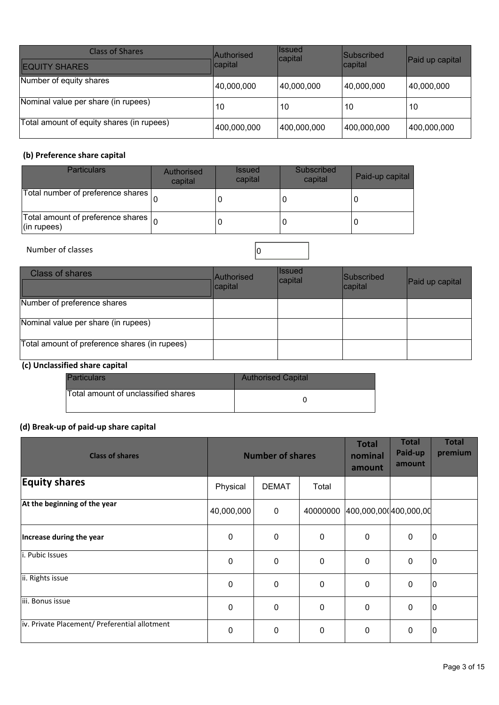| <b>Class of Shares</b><br><b>EQUITY SHARES</b> | <b>Authorised</b><br>capital | <b>Issued</b><br>capital | <b>Subscribed</b><br>∣capital | Paid up capital |
|------------------------------------------------|------------------------------|--------------------------|-------------------------------|-----------------|
| Number of equity shares                        | 40,000,000                   | 40,000,000               | 40,000,000                    | 40,000,000      |
| Nominal value per share (in rupees)            | 10                           | 10                       | 10                            | 10              |
| Total amount of equity shares (in rupees)      | 400,000,000                  | 400,000,000              | 400,000,000                   | 400,000,000     |

## **(b) Preference share capital**

| <b>Particulars</b>                                                      | Authorised<br>capital | <i><b>Issued</b></i><br>capital | Subscribed<br>capital | Paid-up capital |
|-------------------------------------------------------------------------|-----------------------|---------------------------------|-----------------------|-----------------|
| Total number of preference shares                                       |                       |                                 |                       |                 |
| Total amount of preference shares $\vert_{\Omega}$<br>$($ in rupees $)$ |                       |                                 | 0                     |                 |

## Number of classes  $\boxed{0}$

| <b>Class of shares</b>                        | Authorised<br>capital | <b>Issued</b><br> capital | <b>Subscribed</b><br>capital | Paid up capital |
|-----------------------------------------------|-----------------------|---------------------------|------------------------------|-----------------|
| Number of preference shares                   |                       |                           |                              |                 |
| Nominal value per share (in rupees)           |                       |                           |                              |                 |
| Total amount of preference shares (in rupees) |                       |                           |                              |                 |

## **(c) Unclassified share capital**

| <b>Particulars</b>                  | <b>Authorised Capital</b> |
|-------------------------------------|---------------------------|
| Total amount of unclassified shares |                           |

## **(d) Break-up of paid-up share capital**

| <b>Class of shares</b>                        |             | <b>Number of shares</b> |              |                               | <b>Total</b><br>Paid-up<br>amount | <b>Total</b><br>premium |
|-----------------------------------------------|-------------|-------------------------|--------------|-------------------------------|-----------------------------------|-------------------------|
| <b>Equity shares</b>                          | Physical    | <b>DEMAT</b>            | Total        |                               |                                   |                         |
| At the beginning of the year                  | 40,000,000  | $\pmb{0}$               | 40000000     | $[400,000,000]$ $400,000,00]$ |                                   |                         |
| Increase during the year                      | $\pmb{0}$   | $\Omega$                | $\mathbf{0}$ | $\mathbf 0$                   | $\mathbf 0$                       | 10                      |
| li. Pubic Issues                              | 0           | $\Omega$                | $\mathbf{0}$ | $\mathbf 0$                   | $\Omega$                          | 10                      |
| ii. Rights issue                              | $\mathbf 0$ | $\mathbf 0$             | 0            | $\mathbf 0$                   | 0                                 | 10                      |
| iii. Bonus issue                              | 0           | 0                       | 0            | 0                             | $\mathbf 0$                       | 10                      |
| iv. Private Placement/ Preferential allotment | 0           | $\Omega$                | 0            | 0                             | 0                                 | 10                      |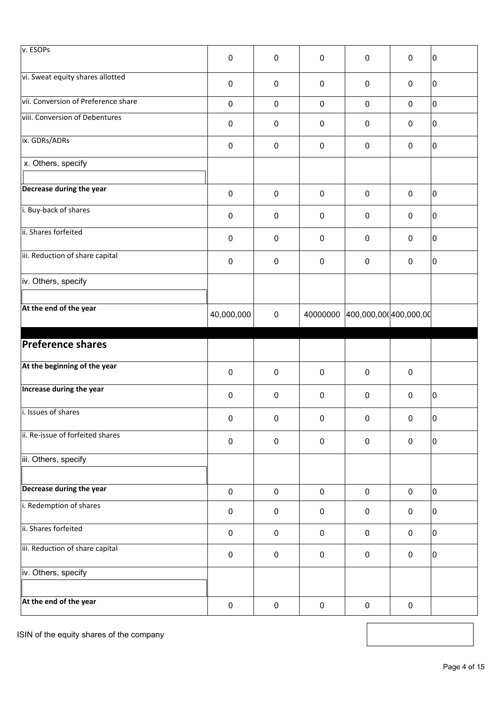| v. ESOPs                            | $\pmb{0}$  | $\mathbf 0$ | $\pmb{0}$   | 0                               | $\mathbf 0$ | 10 |
|-------------------------------------|------------|-------------|-------------|---------------------------------|-------------|----|
| vi. Sweat equity shares allotted    | $\pmb{0}$  | $\mathbf 0$ | $\pmb{0}$   | $\pmb{0}$                       | $\mathbf 0$ | 10 |
| vii. Conversion of Preference share | $\pmb{0}$  | $\mathbf 0$ | $\mathbf 0$ | $\pmb{0}$                       | $\mathbf 0$ | lo |
| viii. Conversion of Debentures      | $\pmb{0}$  | $\mathbf 0$ | $\pmb{0}$   | 0                               | $\mathbf 0$ | 10 |
| ix. GDRs/ADRs                       | $\pmb{0}$  | $\pmb{0}$   | $\pmb{0}$   | $\pmb{0}$                       | $\pmb{0}$   | 10 |
| x. Others, specify                  |            |             |             |                                 |             |    |
| Decrease during the year            | $\pmb{0}$  | $\mathbf 0$ | $\pmb{0}$   | $\pmb{0}$                       | $\mathbf 0$ | 10 |
| i. Buy-back of shares               | $\pmb{0}$  | $\mathbf 0$ | $\pmb{0}$   | $\mathbf 0$                     | $\mathbf 0$ | 10 |
| ii. Shares forfeited                | $\pmb{0}$  | $\mathbf 0$ | $\mathbf 0$ | 0                               | $\mathbf 0$ | 10 |
| iii. Reduction of share capital     | $\pmb{0}$  | $\pmb{0}$   | $\pmb{0}$   | $\mathbf 0$                     | $\mathbf 0$ | 0  |
| iv. Others, specify                 |            |             |             |                                 |             |    |
| At the end of the year              | 40,000,000 | $\mathbf 0$ |             | 40000000 400,000,000 400,000,00 |             |    |
|                                     |            |             |             |                                 |             |    |
|                                     |            |             |             |                                 |             |    |
| <b>Preference shares</b>            |            |             |             |                                 |             |    |
| At the beginning of the year        | $\pmb{0}$  | $\mathbf 0$ | $\pmb{0}$   | $\pmb{0}$                       | $\mathbf 0$ |    |
| Increase during the year            | $\pmb{0}$  | $\pmb{0}$   | $\pmb{0}$   | $\pmb{0}$                       | $\pmb{0}$   | 10 |
| i. Issues of shares                 | $\pmb{0}$  | $\pmb{0}$   | 0           | 0                               | $\mathbf 0$ | 0  |
| ii. Re-issue of forfeited shares    | $\pmb{0}$  | $\pmb{0}$   | $\pmb{0}$   | $\mathbf 0$                     | $\mathsf 0$ | 10 |
| iii. Others, specify                |            |             |             |                                 |             |    |
| Decrease during the year            | $\pmb{0}$  | $\mathbf 0$ | $\pmb{0}$   | $\pmb{0}$                       | $\mathsf 0$ | I٥ |
| i. Redemption of shares             | $\pmb{0}$  | $\mathbf 0$ | $\pmb{0}$   | $\pmb{0}$                       | $\mathbf 0$ | 10 |
| ii. Shares forfeited                | $\pmb{0}$  | $\mathbf 0$ | $\pmb{0}$   | $\mathbf 0$                     | $\mathbf 0$ | 10 |
| iii. Reduction of share capital     | $\pmb{0}$  | $\pmb{0}$   | $\mathsf 0$ | $\pmb{0}$                       | $\mathsf 0$ | 10 |
| iv. Others, specify                 |            |             |             |                                 |             |    |

ISIN of the equity shares of the company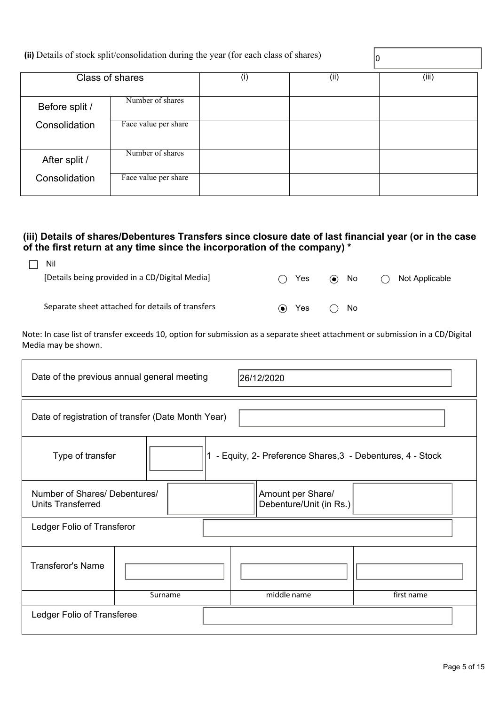|                | (ii) Details of stock split/consolidation during the year (for each class of shares) |     |      | 10    |
|----------------|--------------------------------------------------------------------------------------|-----|------|-------|
|                | Class of shares                                                                      | (i) | (ii) | (iii) |
| Before split / | Number of shares                                                                     |     |      |       |
| Consolidation  | Face value per share                                                                 |     |      |       |
| After split /  | Number of shares                                                                     |     |      |       |
| Consolidation  | Face value per share                                                                 |     |      |       |

## **(iii) Details of shares/Debentures Transfers since closure date of last financial year (or in the case of the first return at any time since the incorporation of the company) \***

| Yes<br>$\left(\begin{array}{c} \end{array}\right)$ |    | Not Applicable |
|----------------------------------------------------|----|----------------|
|                                                    |    |                |
|                                                    |    |                |
| Yes<br>$\left( \bullet \right)$                    | No |                |
|                                                    |    | $\odot$ No     |

Note: In case list of transfer exceeds 10, option for submission as a separate sheet attachment or submission in a CD/Digital Media may be shown.

| Date of the previous annual general meeting<br>26/12/2020                                                 |  |  |             |            |  |
|-----------------------------------------------------------------------------------------------------------|--|--|-------------|------------|--|
| Date of registration of transfer (Date Month Year)                                                        |  |  |             |            |  |
| - Equity, 2- Preference Shares, 3 - Debentures, 4 - Stock<br>Type of transfer                             |  |  |             |            |  |
| Number of Shares/ Debentures/<br>Amount per Share/<br>Debenture/Unit (in Rs.)<br><b>Units Transferred</b> |  |  |             |            |  |
| Ledger Folio of Transferor                                                                                |  |  |             |            |  |
| <b>Transferor's Name</b>                                                                                  |  |  |             |            |  |
| Surname                                                                                                   |  |  | middle name | first name |  |
| Ledger Folio of Transferee                                                                                |  |  |             |            |  |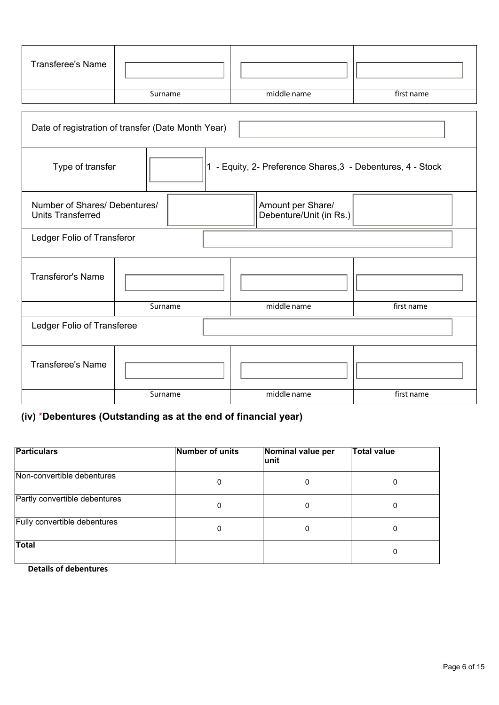| <b>Transferee's Name</b>                                                                                  |         |             |            |  |
|-----------------------------------------------------------------------------------------------------------|---------|-------------|------------|--|
|                                                                                                           | Surname | middle name | first name |  |
| Date of registration of transfer (Date Month Year)                                                        |         |             |            |  |
| 1 - Equity, 2- Preference Shares, 3 - Debentures, 4 - Stock<br>Type of transfer                           |         |             |            |  |
| Number of Shares/ Debentures/<br>Amount per Share/<br>Debenture/Unit (in Rs.)<br><b>Units Transferred</b> |         |             |            |  |
| Ledger Folio of Transferor                                                                                |         |             |            |  |
| <b>Transferor's Name</b>                                                                                  |         |             |            |  |
|                                                                                                           | Surname | middle name | first name |  |
| Ledger Folio of Transferee                                                                                |         |             |            |  |
| <b>Transferee's Name</b>                                                                                  |         |             |            |  |
|                                                                                                           | Surname | middle name | first name |  |

# **(iv)** \***Debentures (Outstanding as at the end of financial year)**

| <b>Particulars</b>            | <b>Number of units</b> | Nominal value per<br>lunit | <b>Total value</b> |
|-------------------------------|------------------------|----------------------------|--------------------|
| Non-convertible debentures    | 0                      | 0                          | 0                  |
| Partly convertible debentures | 0                      | 0                          | 0                  |
| Fully convertible debentures  | 0                      | 0                          | 0                  |
| Total                         |                        |                            | 0                  |

 **Details of debentures**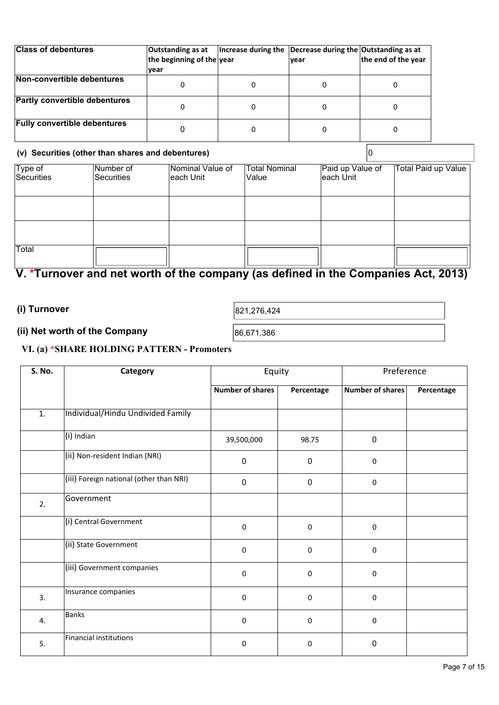| <b>Class of debentures</b>           | Outstanding as at<br>the beginning of the year<br>vear | Increase during the Decrease during the Outstanding as at<br>lvear | the end of the year |
|--------------------------------------|--------------------------------------------------------|--------------------------------------------------------------------|---------------------|
| Non-convertible debentures           |                                                        |                                                                    |                     |
| <b>Partly convertible debentures</b> |                                                        |                                                                    |                     |
| <b>Fully convertible debentures</b>  |                                                        |                                                                    |                     |

## **(v) Securities (other than shares and debentures)** 0

| Type of<br>Securities | Number of<br>Securities | Nominal Value of<br>each Unit | <b>Total Nominal</b><br>lValue | Paid up Value of<br>each Unit | Total Paid up Value |
|-----------------------|-------------------------|-------------------------------|--------------------------------|-------------------------------|---------------------|
|                       |                         |                               |                                |                               |                     |
|                       |                         |                               |                                |                               |                     |
|                       |                         |                               |                                |                               |                     |
|                       |                         |                               |                                |                               |                     |
| Total                 |                         |                               |                                |                               |                     |

# **V. \*Turnover and net worth of the company (as defined in the Companies Act, 2013)**

## **(i) Turnover**

821,276,424

## **(ii) Net worth of the Company**

86,671,386

## **VI. (a) \*SHARE HOLDING PATTERN - Promoters**

| <b>S. No.</b>    | Category                                | Equity                  |             | Preference       |            |
|------------------|-----------------------------------------|-------------------------|-------------|------------------|------------|
|                  |                                         | <b>Number of shares</b> | Percentage  | Number of shares | Percentage |
| $\overline{1}$ . | Individual/Hindu Undivided Family       |                         |             |                  |            |
|                  | (i) Indian                              | 39,500,000              | 98.75       | 0                |            |
|                  | (ii) Non-resident Indian (NRI)          | $\mathbf 0$             | $\mathbf 0$ | $\mathbf 0$      |            |
|                  | (iii) Foreign national (other than NRI) | $\mathbf 0$             | $\mathbf 0$ | $\pmb{0}$        |            |
| 2.               | Government                              |                         |             |                  |            |
|                  | (i) Central Government                  | 0                       | $\pmb{0}$   | $\pmb{0}$        |            |
|                  | (ii) State Government                   | $\mathbf 0$             | 0           | 0                |            |
|                  | (iii) Government companies              | $\mathbf 0$             | $\pmb{0}$   | 0                |            |
| 3.               | Insurance companies                     | 0                       | $\pmb{0}$   | $\pmb{0}$        |            |
| 4.               | <b>Banks</b>                            | $\mathbf 0$             | 0           | 0                |            |
| 5.               | <b>Financial institutions</b>           | 0                       | 0           | 0                |            |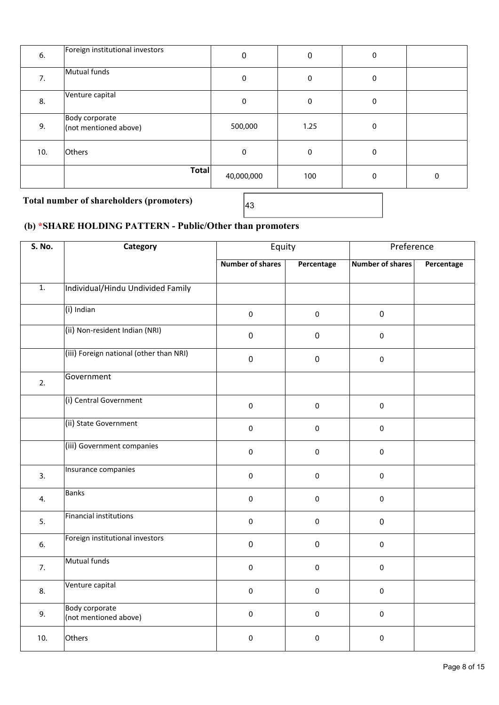| 6.  | Foreign institutional investors         | 0          | 0    | 0 |   |
|-----|-----------------------------------------|------------|------|---|---|
| 7.  | Mutual funds                            | 0          | 0    | 0 |   |
| 8.  | Venture capital                         | 0          | 0    | 0 |   |
| 9.  | Body corporate<br>(not mentioned above) | 500,000    | 1.25 | 0 |   |
| 10. | Others                                  | 0          | 0    | 0 |   |
|     | Total                                   | 40,000,000 | 100  | 0 | 0 |

Total number of shareholders (promoters)  $\sqrt{43}$ 

## **(b) \*SHARE HOLDING PATTERN - Public/Other than promoters**

| <b>S. No.</b>    | Category                                       | Equity                  |             | Preference       |            |
|------------------|------------------------------------------------|-------------------------|-------------|------------------|------------|
|                  |                                                | <b>Number of shares</b> | Percentage  | Number of shares | Percentage |
| $\overline{1}$ . | Individual/Hindu Undivided Family              |                         |             |                  |            |
|                  | (i) Indian                                     | $\mathbf 0$             | $\mathbf 0$ | $\pmb{0}$        |            |
|                  | (ii) Non-resident Indian (NRI)                 | $\pmb{0}$               | $\pmb{0}$   | $\mathbf 0$      |            |
|                  | (iii) Foreign national (other than NRI)        | $\pmb{0}$               | $\pmb{0}$   | $\pmb{0}$        |            |
| 2.               | Government                                     |                         |             |                  |            |
|                  | (i) Central Government                         | $\pmb{0}$               | $\pmb{0}$   | $\pmb{0}$        |            |
|                  | (ii) State Government                          | $\mathbf 0$             | $\pmb{0}$   | $\mathbf 0$      |            |
|                  | (iii) Government companies                     | $\mathbf 0$             | $\mathbf 0$ | $\mathbf 0$      |            |
| 3.               | Insurance companies                            | $\pmb{0}$               | $\pmb{0}$   | $\mathbf 0$      |            |
| 4.               | <b>Banks</b>                                   | $\pmb{0}$               | $\pmb{0}$   | $\pmb{0}$        |            |
| 5.               | <b>Financial institutions</b>                  | $\mathbf 0$             | $\mathbf 0$ | $\mathbf 0$      |            |
| 6.               | Foreign institutional investors                | $\pmb{0}$               | $\pmb{0}$   | $\pmb{0}$        |            |
| 7.               | Mutual funds                                   | $\mathbf 0$             | $\pmb{0}$   | $\mathbf 0$      |            |
| 8.               | Venture capital                                | $\pmb{0}$               | $\pmb{0}$   | $\mathbf 0$      |            |
| 9.               | <b>Body corporate</b><br>(not mentioned above) | $\mathbf 0$             | $\mathbf 0$ | $\pmb{0}$        |            |
| 10.              | Others                                         | $\pmb{0}$               | $\Omega$    | $\pmb{0}$        |            |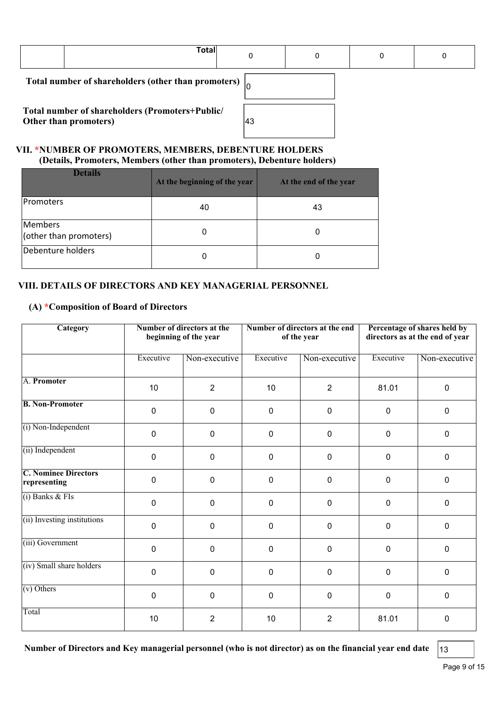| <b>Total</b>                                                             |    |  | 0 |
|--------------------------------------------------------------------------|----|--|---|
| Total number of shareholders (other than promoters) $\vert_{\Omega}$     |    |  |   |
| Total number of shareholders (Promoters+Public/<br>Other than promoters) | 43 |  |   |

## **VII. \*NUMBER OF PROMOTERS, MEMBERS, DEBENTURE HOLDERS (Details, Promoters, Members (other than promoters), Debenture holders)**

| <b>Details</b>                    | At the beginning of the year | At the end of the year |
|-----------------------------------|------------------------------|------------------------|
| <b>IPromoters</b>                 | 40                           | 43                     |
| Members<br>(other than promoters) | 0                            |                        |
| Debenture holders                 | 0                            |                        |

## **VIII. DETAILS OF DIRECTORS AND KEY MANAGERIAL PERSONNEL**

## **(A) \*Composition of Board of Directors**

| <b>Category</b>                             |             | Number of directors at the<br>beginning of the year | Number of directors at the end<br>of the year |                | Percentage of shares held by<br>directors as at the end of year |               |
|---------------------------------------------|-------------|-----------------------------------------------------|-----------------------------------------------|----------------|-----------------------------------------------------------------|---------------|
|                                             | Executive   | Non-executive                                       | Executive                                     | Non-executive  | Executive                                                       | Non-executive |
| A. Promoter                                 | 10          | $\overline{2}$                                      | 10                                            | $\overline{2}$ | 81.01                                                           | $\mathbf 0$   |
| <b>B. Non-Promoter</b>                      | $\mathbf 0$ | 0                                                   | 0                                             | $\mathbf 0$    | 0                                                               | $\mathbf 0$   |
| (i) Non-Independent                         | $\pmb{0}$   | $\mathbf 0$                                         | $\mathbf 0$                                   | $\mathbf 0$    | 0                                                               | $\mathbf{0}$  |
| (ii) Independent                            | 0           | $\mathbf 0$                                         | $\mathbf 0$                                   | $\mathbf 0$    | 0                                                               | $\pmb{0}$     |
| <b>C. Nominee Directors</b><br>representing | 0           | $\mathbf 0$                                         | $\mathbf 0$                                   | $\mathbf 0$    | 0                                                               | $\mathbf 0$   |
| $(i)$ Banks & FIs                           | $\pmb{0}$   | $\mathbf 0$                                         | $\mathbf 0$                                   | $\mathbf 0$    | $\pmb{0}$                                                       | $\pmb{0}$     |
| (ii) Investing institutions                 | $\pmb{0}$   | $\mathbf 0$                                         | $\mathbf 0$                                   | $\mathbf 0$    | 0                                                               | $\mathbf 0$   |
| (iii) Government                            | $\Omega$    | $\mathbf 0$                                         | $\mathbf 0$                                   | $\mathbf 0$    | 0                                                               | $\mathbf{0}$  |
| (iv) Small share holders                    | 0           | $\mathbf 0$                                         | $\mathbf 0$                                   | $\mathbf 0$    | 0                                                               | $\mathbf 0$   |
| $(v)$ Others                                | $\mathbf 0$ | $\mathbf 0$                                         | $\mathbf 0$                                   | $\mathbf 0$    | 0                                                               | $\mathbf 0$   |
| Total                                       | 10          | $\overline{2}$                                      | 10                                            | $\overline{2}$ | 81.01                                                           | $\mathbf 0$   |

**Number of Directors and Key managerial personnel (who is not director) as on the financial year end date** 13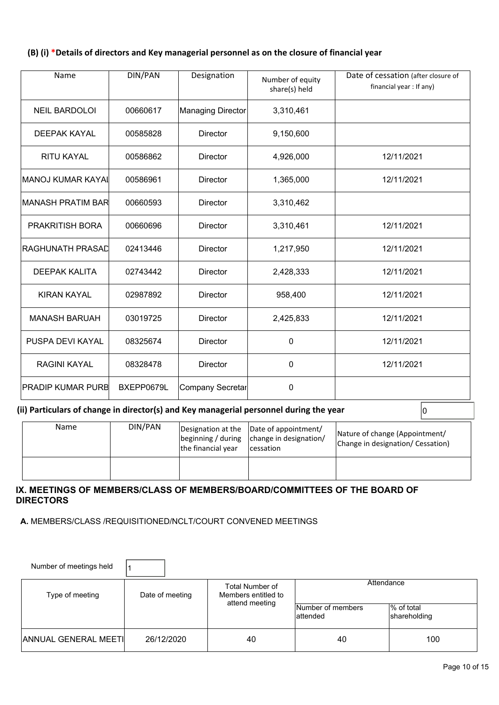## **(B) (i) \*Details of directors and Key managerial personnel as on the closure of financial year**

| Name                      | DIN/PAN    | Designation             | Number of equity<br>share(s) held | Date of cessation (after closure of<br>financial year : If any) |
|---------------------------|------------|-------------------------|-----------------------------------|-----------------------------------------------------------------|
| <b>NEIL BARDOLOI</b>      | 00660617   | Managing Director       | 3,310,461                         |                                                                 |
| <b>DEEPAK KAYAL</b>       | 00585828   | <b>Director</b>         | 9,150,600                         |                                                                 |
| <b>RITU KAYAL</b>         | 00586862   | <b>Director</b>         | 4,926,000                         | 12/11/2021                                                      |
| MANOJ KUMAR KAYAI         | 00586961   | <b>Director</b>         | 1,365,000                         | 12/11/2021                                                      |
| <b>IMANASH PRATIM BAR</b> | 00660593   | <b>Director</b>         | 3,310,462                         |                                                                 |
| <b>PRAKRITISH BORA</b>    | 00660696   | <b>Director</b>         | 3,310,461                         | 12/11/2021                                                      |
| RAGHUNATH PRASAD          | 02413446   | <b>Director</b>         | 1,217,950                         | 12/11/2021                                                      |
| <b>DEEPAK KALITA</b>      | 02743442   | <b>Director</b>         | 2,428,333                         | 12/11/2021                                                      |
| <b>KIRAN KAYAL</b>        | 02987892   | <b>Director</b>         | 958,400                           | 12/11/2021                                                      |
| <b>MANASH BARUAH</b>      | 03019725   | <b>Director</b>         | 2,425,833                         | 12/11/2021                                                      |
| PUSPA DEVI KAYAL          | 08325674   | <b>Director</b>         | 0                                 | 12/11/2021                                                      |
| <b>RAGINI KAYAL</b>       | 08328478   | <b>Director</b>         | 0                                 | 12/11/2021                                                      |
| <b>IPRADIP KUMAR PURB</b> | BXEPP0679L | <b>Company Secretar</b> | 0                                 |                                                                 |

**(ii) Particulars of change in director(s) and Key managerial personnel during the year** 0

| Name | DIN/PAN | the financial year | Designation at the  Date of appointment/<br>beginning / during   change in designation/<br><i>cessation</i> | Nature of change (Appointment/<br>Change in designation/ Cessation) |
|------|---------|--------------------|-------------------------------------------------------------------------------------------------------------|---------------------------------------------------------------------|
|      |         |                    |                                                                                                             |                                                                     |

## **IX. MEETINGS OF MEMBERS/CLASS OF MEMBERS/BOARD/COMMITTEES OF THE BOARD OF DIRECTORS**

 **A.** MEMBERS/CLASS /REQUISITIONED/NCLT/COURT CONVENED MEETINGS

| Number of meetings held     |                 |                                               |                                |                            |
|-----------------------------|-----------------|-----------------------------------------------|--------------------------------|----------------------------|
| Type of meeting             | Date of meeting | <b>Total Number of</b><br>Members entitled to | Attendance                     |                            |
|                             |                 | attend meeting                                | Number of members<br>lattended | % of total<br>shareholding |
| <b>ANNUAL GENERAL MEETI</b> | 26/12/2020      | 40                                            | 40                             | 100                        |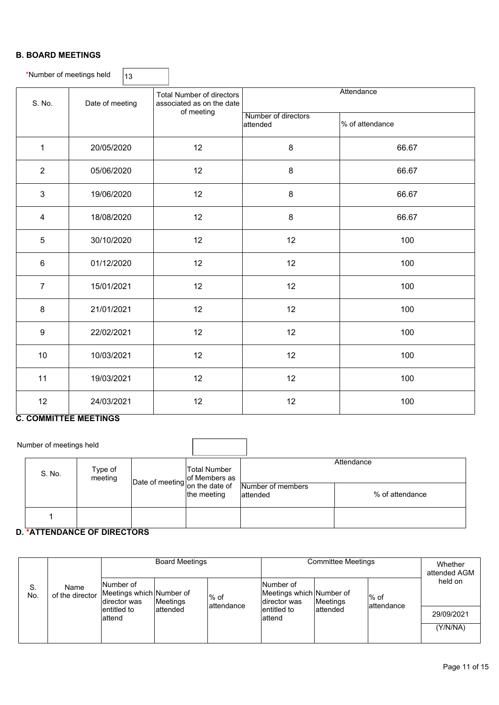## **B. BOARD MEETINGS**

|                | *Number of meetings held<br>13 |                                                               |                                 |                 |  |  |  |  |  |
|----------------|--------------------------------|---------------------------------------------------------------|---------------------------------|-----------------|--|--|--|--|--|
| S. No.         | Date of meeting                | <b>Total Number of directors</b><br>associated as on the date | Attendance                      |                 |  |  |  |  |  |
|                |                                | of meeting                                                    | Number of directors<br>attended | % of attendance |  |  |  |  |  |
| $\mathbf{1}$   | 20/05/2020                     | 12                                                            | 8                               | 66.67           |  |  |  |  |  |
| $\overline{2}$ | 05/06/2020                     | 12                                                            | 8                               | 66.67           |  |  |  |  |  |
| $\mathfrak{S}$ | 19/06/2020                     | 12                                                            | 8                               | 66.67           |  |  |  |  |  |
| $\overline{4}$ | 18/08/2020                     | 12                                                            | 8                               | 66.67           |  |  |  |  |  |
| $5\,$          | 30/10/2020                     | 12                                                            | 12                              | 100             |  |  |  |  |  |
| 6              | 01/12/2020                     | 12                                                            | 12                              | 100             |  |  |  |  |  |
| $\overline{7}$ | 15/01/2021                     | 12                                                            | 12                              | 100             |  |  |  |  |  |
| 8              | 21/01/2021                     | 12                                                            | 12                              | 100             |  |  |  |  |  |
| 9              | 22/02/2021                     | 12                                                            | 12                              | 100             |  |  |  |  |  |
| 10             | 10/03/2021                     | 12                                                            | 12                              | 100             |  |  |  |  |  |
| 11             | 19/03/2021                     | 12                                                            | 12                              | 100             |  |  |  |  |  |
| 12             | 24/03/2021                     | 12                                                            | 12                              | 100             |  |  |  |  |  |

## **C. COMMITTEE MEETINGS**

| Number of meetings held |                    |                                                               |              |                   |                 |
|-------------------------|--------------------|---------------------------------------------------------------|--------------|-------------------|-----------------|
| S. No.                  | Type of<br>meeting | $\left  \text{Date of meeting} \right  \text{on the date of}$ | Total Number | Number of members | Attendance      |
|                         |                    |                                                               | the meeting  | lattended         | % of attendance |
|                         | ---------          |                                                               |              |                   |                 |

## **D. \*ATTENDANCE OF DIRECTORS**

|           |                         | <b>Board Meetings</b>                                 |           |                       | <b>Committee Meetings</b>                             |           |                      | Whether<br>attended AGM |
|-----------|-------------------------|-------------------------------------------------------|-----------|-----------------------|-------------------------------------------------------|-----------|----------------------|-------------------------|
| S.<br>No. | Name<br>of the director | Number of<br>Meetings which Number of<br>director was | Meetings  | $%$ of<br>lattendance | Number of<br>Meetings which Number of<br>director was | Meetings  | l% of<br>lattendance | held on                 |
|           |                         | lentitled to<br>lattend                               | lattended |                       | lentitled to<br>lattend                               | lattended |                      | 29/09/2021              |
|           |                         |                                                       |           |                       |                                                       |           |                      | (Y/N/NA)                |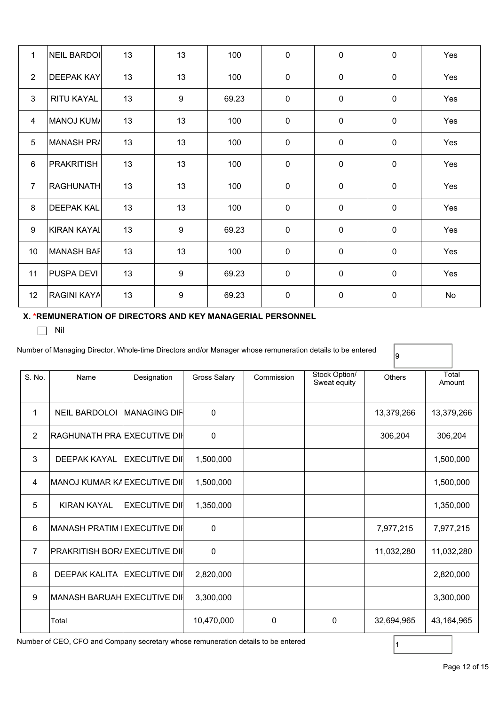| $\mathbf{1}$   | NEIL BARDOI        | 13 | 13 | 100   | $\mathbf 0$ | $\mathbf 0$ | $\mathbf 0$ | Yes |
|----------------|--------------------|----|----|-------|-------------|-------------|-------------|-----|
| $\overline{2}$ | <b>DEEPAK KAY</b>  | 13 | 13 | 100   | $\mathbf 0$ | $\mathbf 0$ | $\mathbf 0$ | Yes |
| 3              | RITU KAYAL         | 13 | 9  | 69.23 | $\mathbf 0$ | $\mathbf 0$ | $\mathbf 0$ | Yes |
| 4              | MANOJ KUM/         | 13 | 13 | 100   | $\mathbf 0$ | $\mathbf 0$ | $\mathbf 0$ | Yes |
| 5              | MANASH PRA         | 13 | 13 | 100   | $\mathbf 0$ | $\mathbf 0$ | $\mathbf 0$ | Yes |
| 6              | <b>PRAKRITISH</b>  | 13 | 13 | 100   | $\mathbf 0$ | $\mathbf 0$ | $\mathbf 0$ | Yes |
| $\overline{7}$ | <b>RAGHUNATH</b>   | 13 | 13 | 100   | $\mathbf 0$ | $\mathbf 0$ | $\mathbf 0$ | Yes |
| 8              | <b>DEEPAK KAL</b>  | 13 | 13 | 100   | $\mathbf 0$ | $\mathbf 0$ | $\mathbf 0$ | Yes |
| $9\,$          | <b>KIRAN KAYAI</b> | 13 | 9  | 69.23 | $\mathbf 0$ | $\mathbf 0$ | $\mathbf 0$ | Yes |
| 10             | MANASH BAF         | 13 | 13 | 100   | $\mathbf 0$ | $\mathbf 0$ | $\mathbf 0$ | Yes |
| 11             | <b>PUSPA DEVI</b>  | 13 | 9  | 69.23 | $\mathbf 0$ | $\mathbf 0$ | $\mathbf 0$ | Yes |
| 12             | <b>RAGINI KAYA</b> | 13 | 9  | 69.23 | $\mathbf 0$ | $\pmb{0}$   | $\pmb{0}$   | No  |

## **X. \*REMUNERATION OF DIRECTORS AND KEY MANAGERIAL PERSONNEL**

 $\Box$  Nil

Number of Managing Director, Whole-time Directors and/or Manager whose remuneration details to be entered

| S. No.         | Name                            | Designation           | <b>Gross Salary</b> | Commission | Stock Option/<br>Sweat equity | <b>Others</b> | Total<br>Amount |
|----------------|---------------------------------|-----------------------|---------------------|------------|-------------------------------|---------------|-----------------|
| 1              | <b>NEIL BARDOLOI</b>            | <b>IMANAGING DIFI</b> | 0                   |            |                               | 13,379,266    | 13,379,266      |
| 2              | RAGHUNATH PRA EXECUTIVE DII     |                       | 0                   |            |                               | 306,204       | 306,204         |
| 3              | <b>DEEPAK KAYAL</b>             | <b>EXECUTIVE DII</b>  | 1,500,000           |            |                               |               | 1,500,000       |
| $\overline{4}$ | MANOJ KUMAR KAEXECUTIVE DII     |                       | 1,500,000           |            |                               |               | 1,500,000       |
| 5              | <b>KIRAN KAYAL</b>              | <b>EXECUTIVE DII</b>  | 1,350,000           |            |                               |               | 1,350,000       |
| 6              | IMANASH PRATIM IIEXECUTIVE DIII |                       | 0                   |            |                               | 7,977,215     | 7,977,215       |
| $\overline{7}$ | PRAKRITISH BOR/EXECUTIVE DII    |                       | 0                   |            |                               | 11,032,280    | 11,032,280      |
| 8              | <b>DEEPAK KALITA</b>            | <b>EXECUTIVE DII</b>  | 2,820,000           |            |                               |               | 2,820,000       |
| 9              | MANASH BARUAH EXECUTIVE DII     |                       | 3,300,000           |            |                               |               | 3,300,000       |
|                | Total                           |                       | 10,470,000          | 0          | 0                             | 32,694,965    | 43,164,965      |

Number of CEO, CFO and Company secretary whose remuneration details to be entered

 $\vert$ 9

1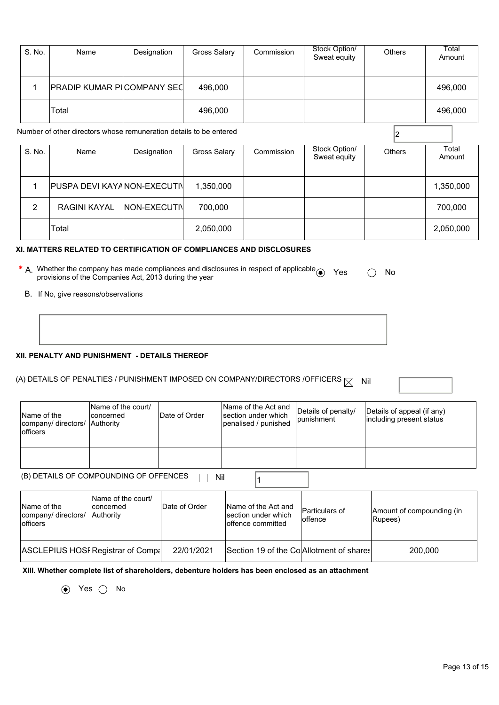| S. No.      | Name                                                                                                                                                                                                                                                                               | Designation   | <b>Gross Salary</b> | Commission                                                         | Stock Option/<br>Sweat equity     | Others                                                 | Total<br>Amount |  |  |
|-------------|------------------------------------------------------------------------------------------------------------------------------------------------------------------------------------------------------------------------------------------------------------------------------------|---------------|---------------------|--------------------------------------------------------------------|-----------------------------------|--------------------------------------------------------|-----------------|--|--|
| 1           | PRADIP KUMAR PICOMPANY SEC                                                                                                                                                                                                                                                         |               | 496,000             |                                                                    |                                   |                                                        | 496,000         |  |  |
|             | Total                                                                                                                                                                                                                                                                              |               | 496,000             |                                                                    |                                   |                                                        | 496,000         |  |  |
|             | Number of other directors whose remuneration details to be entered                                                                                                                                                                                                                 |               |                     |                                                                    |                                   | 2                                                      |                 |  |  |
| S. No.      | Name                                                                                                                                                                                                                                                                               | Designation   | <b>Gross Salary</b> | Commission                                                         | Stock Option/<br>Sweat equity     | Others                                                 | Total<br>Amount |  |  |
| $\mathbf 1$ | PUSPA DEVI KAYANON-EXECUTI\                                                                                                                                                                                                                                                        |               | 1,350,000           |                                                                    |                                   |                                                        | 1,350,000       |  |  |
| 2           | <b>RAGINI KAYAL</b>                                                                                                                                                                                                                                                                | NON-EXECUTIV  | 700,000             |                                                                    |                                   |                                                        | 700,000         |  |  |
|             | Total                                                                                                                                                                                                                                                                              |               | 2,050,000           |                                                                    |                                   |                                                        | 2,050,000       |  |  |
|             | XI. MATTERS RELATED TO CERTIFICATION OF COMPLIANCES AND DISCLOSURES<br>* A. Whether the company has made compliances and disclosures in respect of applicable $\odot$<br>Yes<br>No<br>provisions of the Companies Act, 2013 during the year<br>B. If No, give reasons/observations |               |                     |                                                                    |                                   |                                                        |                 |  |  |
|             | XII. PENALTY AND PUNISHMENT - DETAILS THEREOF<br>(A) DETAILS OF PENALTIES / PUNISHMENT IMPOSED ON COMPANY/DIRECTORS /OFFICERS $\boxtimes$                                                                                                                                          |               |                     |                                                                    |                                   | Nil                                                    |                 |  |  |
| Name of the | Name of the court/<br>concerned<br>company/directors/ Authority                                                                                                                                                                                                                    | Date of Order |                     | Name of the Act and<br>section under which<br>nanglicad / nunichad | Details of penalty/<br>punishment | Details of appeal (if any)<br>including present status |                 |  |  |

| Name of the<br>company/ directors/<br>lofficers | Name of the court/<br>concerned<br>Authority | <b>IDate of Order</b> | Name of the Act and<br>section under which<br>penalised / punished | Details of penalty/<br><i>lpunishment</i> | Details of appeal (if any)<br>including present status |  |  |
|-------------------------------------------------|----------------------------------------------|-----------------------|--------------------------------------------------------------------|-------------------------------------------|--------------------------------------------------------|--|--|
|                                                 |                                              |                       |                                                                    |                                           |                                                        |  |  |
| (B) DETAILS OF COMPOUNDING OF OFFENCES<br>Nil   |                                              |                       |                                                                    |                                           |                                                        |  |  |

| Name of the<br>company/ directors/<br>lofficers | Name of the court/<br>concerned<br><b>Authority</b> | Date of Order | Name of the Act and<br>section under which<br>loffence committed | Particulars of<br>loffence | Amount of compounding (in<br>Rupees) |
|-------------------------------------------------|-----------------------------------------------------|---------------|------------------------------------------------------------------|----------------------------|--------------------------------------|
| ASCLEPIUS HOSFRegistrar of Compa                |                                                     | 22/01/2021    | Section 19 of the Co Allotment of shares                         |                            | 200,000                              |

**XIII. Whether complete list of shareholders, debenture holders has been enclosed as an attachment** 

 $\odot$  Yes  $\odot$  No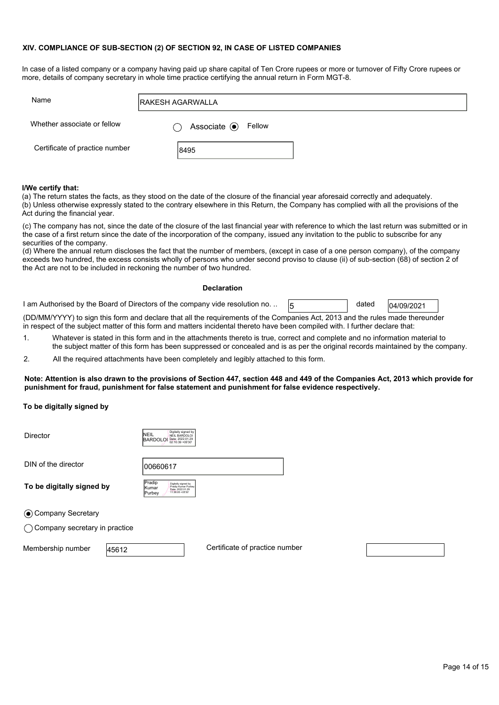#### **XIV. COMPLIANCE OF SUB-SECTION (2) OF SECTION 92, IN CASE OF LISTED COMPANIES**

In case of a listed company or a company having paid up share capital of Ten Crore rupees or more or turnover of Fifty Crore rupees or more, details of company secretary in whole time practice certifying the annual return in Form MGT-8.

| Name                           | <b>RAKESH AGARWALLA</b>       |  |
|--------------------------------|-------------------------------|--|
| Whether associate or fellow    | Associate <sup>O</sup> Fellow |  |
| Certificate of practice number | 8495                          |  |

#### **I/We certify that:**

(a) The return states the facts, as they stood on the date of the closure of the financial year aforesaid correctly and adequately. (b) Unless otherwise expressly stated to the contrary elsewhere in this Return, the Company has complied with all the provisions of the Act during the financial year.

(c) The company has not, since the date of the closure of the last financial year with reference to which the last return was submitted or in the case of a first return since the date of the incorporation of the company, issued any invitation to the public to subscribe for any securities of the company.

(d) Where the annual return discloses the fact that the number of members, (except in case of a one person company), of the company exceeds two hundred, the excess consists wholly of persons who under second proviso to clause (ii) of sub-section (68) of section 2 of the Act are not to be included in reckoning the number of two hundred.

#### **Declaration**

1 am Authorised by the Board of Directors of the company vide resolution no. ..  $\sqrt{5}$  dated  $\sqrt{0.09/2021}$ 

dated

(DD/MM/YYYY) to sign this form and declare that all the requirements of the Companies Act, 2013 and the rules made thereunder in respect of the subject matter of this form and matters incidental thereto have been compiled with. I further declare that:

1. Whatever is stated in this form and in the attachments thereto is true, correct and complete and no information material to the subject matter of this form has been suppressed or concealed and is as per the original records maintained by the company.

2. All the required attachments have been completely and legibly attached to this form.

**Note: Attention is also drawn to the provisions of Section 447, section 448 and 449 of the Companies Act, 2013 which provide for punishment for fraud, punishment for false statement and punishment for false evidence respectively.** 

### **To be digitally signed by**

| <b>Director</b>                          | Digitally signed by<br>INEIL<br>NEIL BARDOLOI<br>Date: 2022.01.29<br><b>BARDOLO</b><br>02:10:39 +05'30'                 |  |
|------------------------------------------|-------------------------------------------------------------------------------------------------------------------------|--|
| DIN of the director                      | 00660617                                                                                                                |  |
| To be digitally signed by                | Pradip<br>Digitally signed by<br>Pradip Kumar Purbey<br><b>K</b> umar<br>Date: 2022.01.29<br>11:36:05 +05'30"<br>Purbey |  |
| ⊙ Company Secretary                      |                                                                                                                         |  |
| $\bigcirc$ Company secretary in practice |                                                                                                                         |  |

Membership number |45612

Certificate of practice number